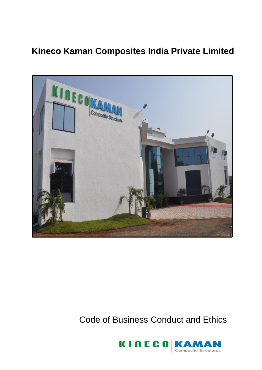## **Kineco Kaman Composites India Private Limited**



## Code of Business Conduct and Ethics

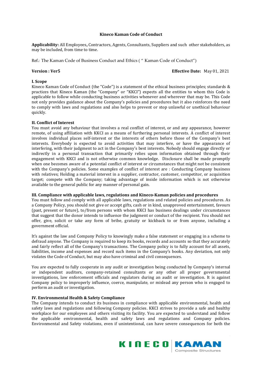#### **Kineco Kaman Code of Conduct**

**Applicability:** All Employees**,** Contractors, Agents, Consultants, Suppliers and such other stakeholders, as may be included, from time to time.

Ref.: The Kaman Code of Business Conduct and Ethics ( " Kaman Code of Conduct")

#### **Version : Ver5 Contract Property Contract Property Contract Property Contract Property Contract Property Contract Property Contract Property Contract Property Contract Property Contract Property Contract Property Contract**

#### **I. Scope**

Kineco Kaman Code of Conduct (the "Code") is a statement of the ethical business principles; standards & practices that Kineco Kaman (the "Company" or "KKCI") expects all the entities to whom this Code is applicable to follow while conducting business activities whenever and wherever that may be. This Code not only provides guidance about the Company's policies and procedures but it also reinforces the need to comply with laws and regulations and also helps to prevent or stop unlawful or unethical behaviour quickly.

### **II. Conflict of Interest**

You must avoid any behaviour that involves a real conflict of interest, or and any appearance, however remote, of using affiliation with KKCI as a means of furthering personal interests. A conflict of interest involves individual places self-interest or the interests of others before those of the Company's best interests. Everybody is expected to avoid activities that may interfere, or have the appearance of interfering, with their judgment to act in the Company's best interests. Nobody should engage directly or indirectly in a personal transaction that primarily relies upon information obtained through their engagement with KKCI and is not otherwise common knowledge. Disclosure shall be made promptly when one becomes aware of a potential conflict of interest or circumstances that might not be consistent with the Company's policies. Some examples of conflict of interest are : Conducting Company business with relatives; Holding a material interest in a supplier, contractor, customer, competitor, or acquisition target; compete with the Company; taking advantage of inside information which is not otherwise available to the general public for any manner of personal gain.

#### **III. Compliance with applicable laws, regulations and Kineco-Kaman policies and procedures**

You must follow and comply with all applicable laws, regulations and related policies and procedures. As a Company Policy, you should not give or accept gifts, cash or in kind, unapproved entertainment, favours (past, present or future), to/from persons with whom KKCI has business dealings under circumstances that suggest that the donor intends to influence the judgment or conduct of the recipient. You should not offer, give, solicit or take any form of bribe, gratuity or kickback to or from anyone, including a government official.

It's against the law and Company Policy to knowingly make a false statement or engaging in a scheme to defraud anyone. The Company is required to keep its books, records and accounts so that they accurately and fairly reflect all of the Company's transactions. The Company policy is to fully account for all assets, liabilities, income and expenses and record such items in the Company's books. Any deviation, not only violates the Code of Conduct, but may also have criminal and civil consequences.

You are expected to fully cooperate in any audit or investigation being conducted by Company's internal or independent auditors, company-retained consultants or any other all proper governmental investigations, law enforcement officials and regulators during an audit or investigation. It is against Company policy to improperly influence, coerce, manipulate, or mislead any person who is engaged to perform an audit or investigation.

#### **IV. Environmental Health & Safety Compliance**

The Company intends to conduct its business in compliance with applicable environmental, health and safety laws and regulations and following Company policies. KKCI strives to provide a safe and healthy workplace for our employees and others visiting its facility. You are expected to understand and follow the applicable environmental, health and safety laws and regulations and Company policies. Environmental and Safety violations, even if unintentional, can have severe consequences for both the

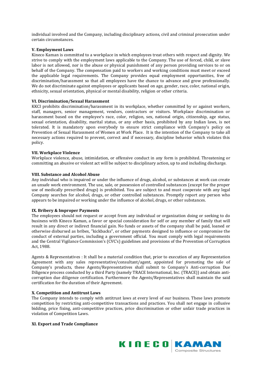individual involved and the Company, including disciplinary actions, civil and criminal prosecution under certain circumstances.

#### **V. Employment Laws**

Kineco Kaman is committed to a workplace in which employees treat others with respect and dignity. We strive to comply with the employment laws applicable to the Company. The use of forced, child, or slave labor is not allowed, nor is the abuse or physical punishment of any person providing services to or on behalf of the Company. The compensation paid to workers and working conditions must meet or exceed the applicable legal requirements. The Company provides equal employment opportunities, free of discrimination/harassment so that all employees have the chance to advance and grow professionally. We do not discriminate against employees or applicants based on age, gender, race, color, national origin, ethnicity, sexual orientation, physical or mental disability, religion or other criteria.

#### **VI. Discrimination/Sexual Harassment**

KKCI prohibits discrimination/harassment in its workplace, whether committed by or against workers, staff, managers, senior management, vendors, contractors or visitors. Workplace discrimination or harassment based on the employee's race, color, religion, sex, national origin, citizenship, age status, sexual orientation, disability, marital status, or any other basis, prohibited by any Indian laws, is not tolerated. It is mandatory upon everybody to ensure strict compliance with Company's policy on Prevention of Sexual Harassment of Women at Work Place. It is the intention of the Company to take all necessary actions required to prevent, correct and if necessary, discipline behavior which violates this policy.

#### **VII. Workplace Violence**

Workplace violence, abuse, intimidation, or offensive conduct in any form is prohibited. Threatening or committing an abusive or violent act will be subject to disciplinary action, up to and including discharge.

#### **VIII. Substance and Alcohol Abuse**

Any individual who is impaired or under the influence of drugs, alcohol, or substances at work can create an unsafe work environment. The use, sale, or possession of controlled substances (except for the proper use of medically prescribed drugs) is prohibited. You are subject to and must cooperate with any legal Company searches for alcohol, drugs, or other controlled substances. Promptly report any person who appears to be impaired or working under the influence of alcohol, drugs, or other substances.

#### **IX. Bribery & Improper Payments**

The employees should not request or accept from any individual or organization doing or seeking to do business with Kineco Kaman, a favor or special consideration for self or any member of family that will result in any direct or indirect financial gain. No funds or assets of the company shall be paid, loaned or otherwise disbursed as bribes, "kickbacks", or other payments designed to influence or compromise the conduct of external parties, including a government official. You must comply with legal requirements and the Central Vigilance Commission's (CVC's) guidelines and provisions of the Prevention of Corruption Act, 1988.

Agents & Representatives : It shall be a material condition that, prior to execution of any Representation Agreement with any sales representative/consultant/agent, appointed for promoting the sale of Company's products, these Agents/Representatives shall submit to Company's Anti-corruption Due Diligence process conducted by a third Party (namely TRACE International, Inc. (TRACE)) and obtain anticorruption due diligence certification. Furthermore the Agents/Representatives shall maintain the said certification for the duration of their Agreement.

#### **X. Competition and Antitrust Laws**

The Company intends to comply with antitrust laws at every level of our business. These laws promote competition by restricting anti-competitive transactions and practices. You shall not engage in collusive bidding, price fixing, anti-competitive practices, price discrimination or other unfair trade practices in violation of Competition Laws.

#### **XI. Export and Trade Compliance**

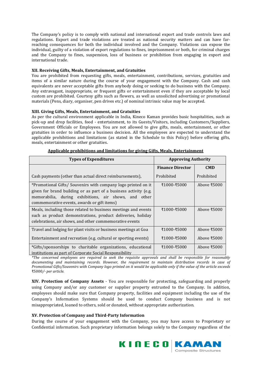The Company's policy is to comply with national and international export and trade controls laws and regulations. Export and trade violations are treated as national security matters and can have farreaching consequences for both the individual involved and the Company. Violations can expose the individual, guilty of a violation of export regulations to fines, imprisonment or both, for criminal charges and the Company to fines, suspension, loss of business or prohibition from engaging in export and international trade.

### **XII. Receiving Gifts, Meals, Entertainment, and Gratuities**

You are prohibited from requesting gifts, meals, entertainment, contributions, services, gratuities and items of a similar nature during the course of your engagement with the Company. Cash and cash equivalents are never acceptable gifts from anybody doing or seeking to do business with the Company. Any extravagant, inappropriate, or frequent gifts or entertainment even if they are acceptable by local custom are prohibited. Courtesy gifts such as flowers, as well as unsolicited advertising or promotional materials (Pens, diary, organiser, pen drives etc.) of nominal intrinsic value may be accepted.

### **XIII. Giving Gifts, Meals, Entertainment, and Gratuities**

As per the cultural environment applicable in India, Kineco Kaman provides basic hospitalities, such as pick-up and drop facilities, food - entertainment, to its Guests/Visitors, including Customers/Suppliers, Government Officials or Employees. You are not allowed to give gifts, meals, entertainment, or other gratuities in order to influence a business decision. All the employees are expected to understand the applicable prohibitions and limitations (as stated in the Schedule to this Policy) before offering gifts, meals, entertainment or other gratuities.

| <b>Types of Expenditures</b>                                                                                                                                                                                                              | <b>Approving Authority</b> |                                  |
|-------------------------------------------------------------------------------------------------------------------------------------------------------------------------------------------------------------------------------------------|----------------------------|----------------------------------|
|                                                                                                                                                                                                                                           | <b>Finance Director</b>    | <b>CMD</b>                       |
| Cash payments (other than actual direct reimbursements),                                                                                                                                                                                  | Prohibited                 | Prohibited                       |
| *Promotional Gifts/ Souvenirs with company logo printed on it<br>given for brand building or as part of a business activity (e.g.<br>memorabilia, during exhibitions, air shows, and other<br>commemorative events, awards or gift items) | ₹1000-₹5000                | Above ₹5000                      |
| Meals, including those related to business meetings and events<br>such as product demonstrations, product deliveries, holiday<br>celebrations, air shows, and other commemorative events                                                  | ₹1000-₹5000                | Above $\text{\textsterling}5000$ |
| Travel and lodging for plant visits or business meetings at Goa                                                                                                                                                                           | ₹1000-₹5000                | Above ₹5000                      |
| Entertainment and recreation (e.g. cultural or sporting events)                                                                                                                                                                           | ₹1000-₹5000                | Above $\text{\textsterling}5000$ |
| *Gifts/sponsorships to charitable organizations, educational<br>institutions as part of Corporate Social Responsibility                                                                                                                   | ₹1000-₹5000                | Above $\text{\textsterling}5000$ |

**Applicable prohibitions and limitations for giving Gifts, Meals, Entertainment**

*\*The concerned employees are required to seek the requisite approvals and shall be responsible for reasonably documenting and maintaining records. However, the requirement to maintain distribution records in case of Promotional Gifts/Souvenirs with Company logo printed on it would be applicable only if the value of the article exceeds*  ₹5000*/- per article.*

**XIV. Protection of Company Assets** - You are responsible for protecting, safeguarding and properly using Company and/or any customer or supplier property entrusted to the Company. In addition, employees should make sure that Company property, facilities and equipment including the use of the Company's Information Systems should be used to conduct Company business and is not misappropriated, loaned to others, sold or donated, without appropriate authorization.

#### **XV. Protection of Company and Third-Party Information**

During the course of your engagement with the Company, you may have access to Proprietary or Confidential information. Such proprietary information belongs solely to the Company regardless of the

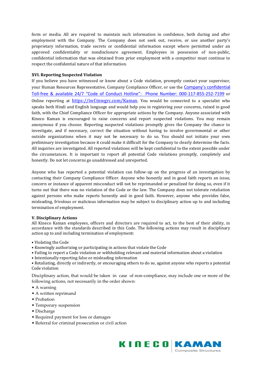form or media. All are required to maintain such information in confidence, both during and after employment with the Company. The Company does not seek out, receive, or use another party's proprietary information, trade secrets or confidential information except where permitted under an approved confidentiality or nondisclosure agreement. Employees in possession of non-public, confidential information that was obtained from prior employment with a competitor must continue to respect the confidential nature of that information.

### **XVI. Reporting Suspected Violation**

If you believe you have witnessed or know about a Code violation, promptly contact your supervisor, your Human Resources Representative, Company Compliance Officer, or use the Company's confidential Toll-free & available 24/7 "Code of Conduct Hotline": Phone Number: 000-117-855-252-7199 or Online reporting at <https://iwf.tnwgrc.com/Kaman>. You would be connected to a specialist who speaks both Hindi and English language and would help you in registering your concerns, raised in good faith, with the Chief Compliance Officer for appropriate actions by the Company. Anyone associated with Kineco Kaman is encouraged to raise concerns and report suspected violations. You may remain anonymous if you choose. Reporting suspected violations promptly gives the Company the chance to investigate, and if necessary, correct the situation without having to involve governmental or other outside organizations when it may not be necessary to do so. You should not initiate your own preliminary investigation because it could make it difficult for the Company to clearly determine the facts. All inquiries are investigated. All reported violations will be kept confidential to the extent possible under the circumstances. It is important to report all potential Code violations promptly, completely and honestly. Do not let concerns go unaddressed and unreported.

Anyone who has reported a potential violation can follow-up on the progress of an investigation by contacting their Company Compliance Officer. Anyone who honestly and in good faith reports an issue, concern or instance of apparent misconduct will not be reprimanded or penalized for doing so, even if it turns out that there was no violation of the Code or the law. The Company does not tolerate retaliation against persons who make reports honestly and in good faith. However, anyone who provides false, misleading, frivolous or malicious information may be subject to disciplinary action up to and including termination of employment.

#### **V. Disciplinary Actions**

All Kineco Kaman employees, officers and directors are required to act, to the best of their ability, in accordance with the standards described in this Code. The following actions may result in disciplinary action up to and including termination of employment:

- Violating the Code
- Knowingly authorizing or participating in actions that violate the Code
- Failing to report a Code violation or withholding relevant and material information about a violation
- Intentionally reporting false or misleading information

• Retaliating, directly or indirectly, or encouraging others to do so, against anyone who reports a potential Code violation

Disciplinary action, that would be taken in case of non-compliance, may include one or more of the following actions, not necessarily in the order shown:

- A warning
- A written reprimand
- Probation
- Temporary suspension
- Discharge
- Required payment for loss or damages
- Referral for criminal prosecution or civil action

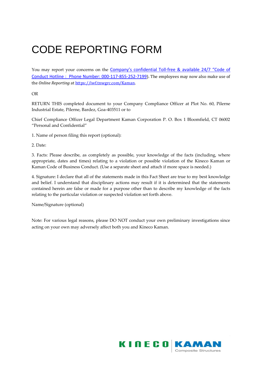# CODE REPORTING FORM

You may report your concerns on the Company's confidential Toll-free & available 24/7 "Code of Conduct Hotline : Phone Number: 000-117-855-252-7199). The employees may now also make use of the *Online Reporting* at [https://iwf.tnwgrc.com/Kaman.](https://iwf.tnwgrc.com/Kaman) 

OR

RETURN THIS completed document to your Company Compliance Officer at Plot No. 60, Pilerne Industrial Estate, Pilerne, Bardez, Goa-403511 or to

Chief Compliance Officer Legal Department Kaman Corporation P. O. Box 1 Bloomfield, CT 06002 "Personal and Confidential"

1. Name of person filing this report (optional):

2. Date:

3. Facts: Please describe, as completely as possible, your knowledge of the facts (including, where appropriate, dates and times) relating to a violation or possible violation of the Kineco Kaman or Kaman Code of Business Conduct. (Use a separate sheet and attach if more space is needed.)

4. Signature: I declare that all of the statements made in this Fact Sheet are true to my best knowledge and belief. I understand that disciplinary actions may result if it is determined that the statements contained herein are false or made for a purpose other than to describe my knowledge of the facts relating to the particular violation or suspected violation set forth above.

Name/Signature (optional)

Note: For various legal reasons, please DO NOT conduct your own preliminary investigations since acting on your own may adversely affect both you and Kineco Kaman.